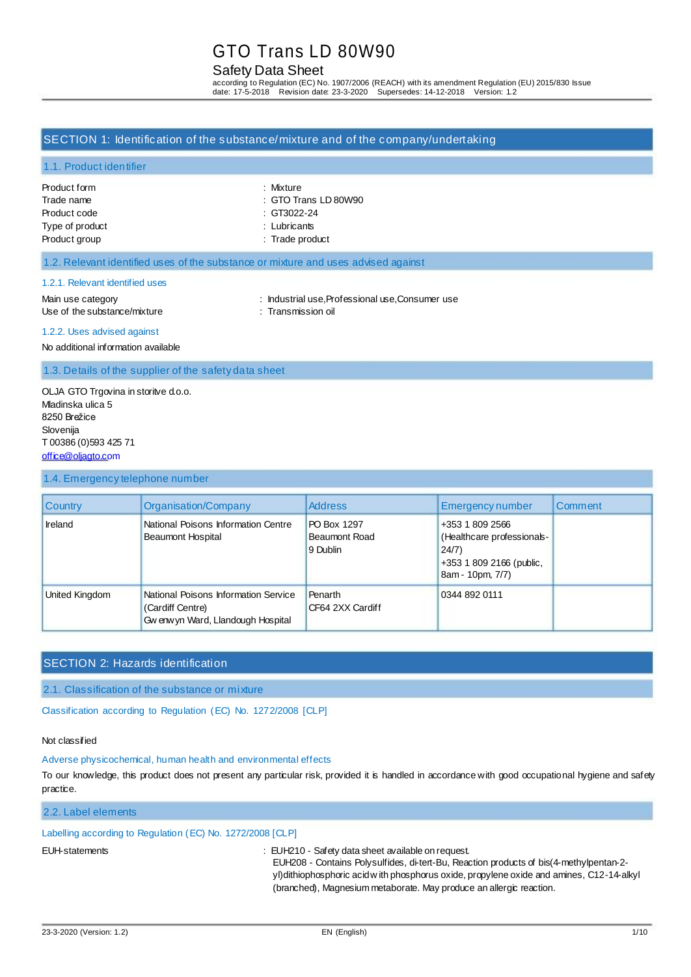# Safety Data Sheet

according to Regulation (EC) No. 1907/2006 (REACH) with its amendment Regulation (EU) 2015/830 Issue date: 17-5-2018 Revision date: 23-3-2020 Supersedes: 14-12-2018 Version: 1.2

### SECTION 1: Identification of the substance/mixture and of the company/undertaking

#### 1.1. Product identifier

| Product form    |
|-----------------|
| Trade name      |
| Product code    |
| Type of product |
| Product group   |

: Mixture : GTO Trans LD 80W90  $\therefore$  GT3022-24

: Lubricants

: Trade product

### 1.2. Relevant identified uses of the substance or mixture and uses advised against

#### 1.2.1. Relevant identified uses

Main use category **industrial use, Professional use, Consumer use** : Industrial use, Professional use, Consumer use Use of the substance/mixture : Transmission oil

#### 1.2.2. Uses advised against

No additional information available

1.3. Details of the supplier of the safety data sheet

OLJA GTO Trgovina in storitve d.o.o. Mladinska ulica 5 8250 Brežice Slovenija T 00386 (0)593 425 71 [office@oljagto.com](mailto:office@oljagto.com)

#### 1.4. Emergency telephone number

| <b>Country</b> | Organisation/Company                                                                           | <b>Address</b>                                  | <b>Emergency number</b>                                                                               | Comment |
|----------------|------------------------------------------------------------------------------------------------|-------------------------------------------------|-------------------------------------------------------------------------------------------------------|---------|
| <b>Ireland</b> | National Poisons Information Centre<br><b>Beaumont Hospital</b>                                | PO Box 1297<br><b>Beaumont Road</b><br>9 Dublin | +353 1 809 2566<br>(Healthcare professionals-<br>24/7<br>+353 1 809 2166 (public,<br>8am - 10pm, 7/7) |         |
| United Kingdom | National Poisons Information Service<br>(Cardiff Centre)<br>Gw enw yn Ward, Llandough Hospital | Penarth<br>CF64 2XX Cardiff                     | 0344 892 0111                                                                                         |         |

# SECTION 2: Hazards identification

2.1. Classification of the substance or mixture

Classification according to Regulation (EC) No. 1272/2008 [CLP]

### Not classified

### Adverse physicochemical, human health and environmental effects

To our knowledge, this product does not present any particular risk, provided it is handled in accordance with good occupational hygiene and safety practice.

## 2.2. Label elements

### Labelling according to Regulation (EC) No. 1272/2008 [CLP]

EUH-statements : EUH210 - Safety data sheet available on request.

EUH208 - Contains Polysulfides, di-tert-Bu, Reaction products of bis(4-methylpentan-2 yl)dithiophosphoric acid w ith phosphorus oxide, propylene oxide and amines, C12-14-alkyl (branched), Magnesium metaborate. May produce an allergic reaction.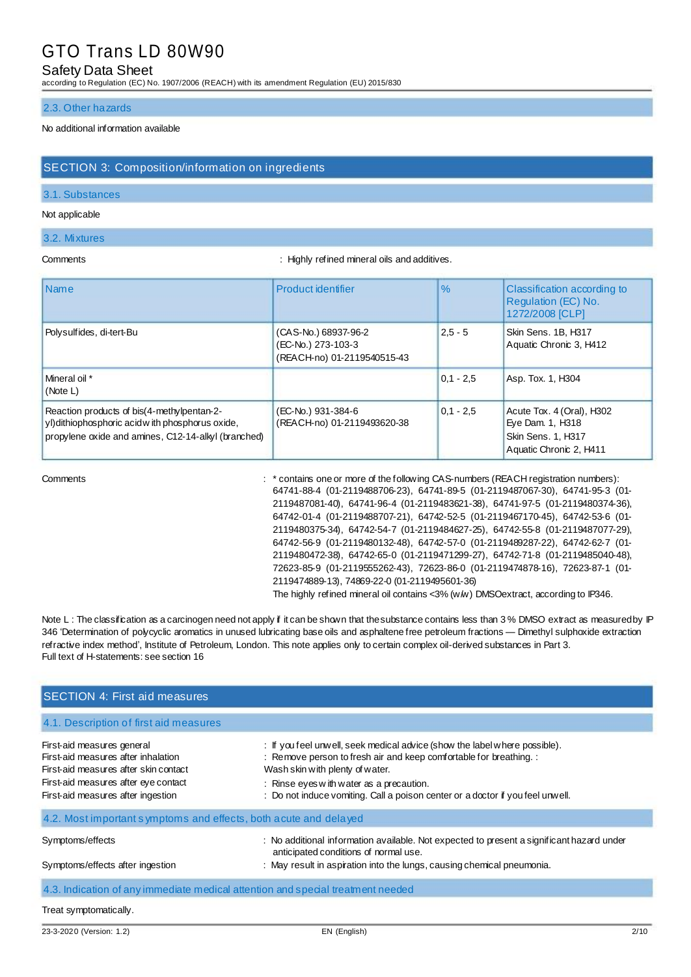### Safety Data Sheet

according to Regulation (EC) No. 1907/2006 (REACH) with its amendment Regulation (EU) 2015/830

#### 2.3. Other hazards

### No additional information available

# SECTION 3: Composition/information on ingredients

#### 3.1. Substances

#### Not applicable

#### 3.2. Mixtures

Comments : Highly refined mineral oils and additives.

| <b>Name</b>                                                                                                                                           | Product identifier                                                        | $\%$        | Classification according to<br>Regulation (EC) No.<br>1272/2008 [CLP]                          |
|-------------------------------------------------------------------------------------------------------------------------------------------------------|---------------------------------------------------------------------------|-------------|------------------------------------------------------------------------------------------------|
| Polysulfides, di-tert-Bu                                                                                                                              | (CAS-No.) 68937-96-2<br>(EC-No.) 273-103-3<br>(REACH-no) 01-2119540515-43 | $2.5 - 5$   | Skin Sens. 1B, H317<br>Aquatic Chronic 3, H412                                                 |
| Mineral oil *<br>(Note L)                                                                                                                             |                                                                           | $0.1 - 2.5$ | Asp. Tox. 1, H304                                                                              |
| Reaction products of bis(4-methylpentan-2-<br>yl) dithiophosphoric acid with phosphorus oxide,<br>propylene oxide and amines, C12-14-alkyl (branched) | (EC-No.) 931-384-6<br>(REACH-no) 01-2119493620-38                         | $0.1 - 2.5$ | Acute Tox. 4 (Oral), H302<br>Eye Dam. 1, H318<br>Skin Sens. 1, H317<br>Aquatic Chronic 2, H411 |

Comments : \* contains one or more of the following CAS-numbers (REACH registration numbers): 64741-88-4 (01-2119488706-23), 64741-89-5 (01-2119487067-30), 64741-95-3 (01- 2119487081-40), 64741-96-4 (01-2119483621-38), 64741-97-5 (01-2119480374-36), 64742-01-4 (01-2119488707-21), 64742-52-5 (01-2119467170-45), 64742-53-6 (01- 2119480375-34), 64742-54-7 (01-2119484627-25), 64742-55-8 (01-2119487077-29), 64742-56-9 (01-2119480132-48), 64742-57-0 (01-2119489287-22), 64742-62-7 (01- 2119480472-38), 64742-65-0 (01-2119471299-27), 64742-71-8 (01-2119485040-48), 72623-85-9 (01-2119555262-43), 72623-86-0 (01-2119474878-16), 72623-87-1 (01- 2119474889-13), 74869-22-0 (01-2119495601-36) The highly refined mineral oil contains <3% (w/w) DMSOextract, according to IP346.

Note L: The classification as a carcinogen need not apply if it can be shown that the substance contains less than 3% DMSO extract as measured by IP 346 'Determination of polycyclic aromatics in unused lubricating base oils and asphaltene free petroleum fractions — Dimethyl sulphoxide extraction refractive index method', Institute of Petroleum, London. This note applies only to certain complex oil-derived substances in Part 3. Full text of H-statements: see section 16

| <b>SECTION 4: First aid measures</b>                                                                                                                                                     |                                                                                                                                                                                                                                                                                                                   |
|------------------------------------------------------------------------------------------------------------------------------------------------------------------------------------------|-------------------------------------------------------------------------------------------------------------------------------------------------------------------------------------------------------------------------------------------------------------------------------------------------------------------|
| 4.1. Description of first aid measures                                                                                                                                                   |                                                                                                                                                                                                                                                                                                                   |
| First-aid measures general<br>First-aid measures after inhalation<br>First-aid measures after skin contact<br>First-aid measures after eye contact<br>First-aid measures after ingestion | : If you feel unwell, seek medical advice (show the label where possible).<br>: Remove person to fresh air and keep comfortable for breathing. :<br>Wash skin with plenty of water.<br>: Rinse eyes with water as a precaution.<br>: Do not induce vomiting. Call a poison center or a doctor if you feel unwell. |
| 4.2. Most important symptoms and effects, both acute and delayed                                                                                                                         |                                                                                                                                                                                                                                                                                                                   |
| Symptoms/effects<br>Symptoms/effects after ingestion                                                                                                                                     | : No additional information available. Not expected to present a significant hazard under<br>anticipated conditions of normal use.<br>: May result in aspiration into the lungs, causing chemical pneumonia.                                                                                                      |
| 4.3. Indication of any immediate medical attention and special treatment needed                                                                                                          |                                                                                                                                                                                                                                                                                                                   |
| Treat symptomatically.                                                                                                                                                                   |                                                                                                                                                                                                                                                                                                                   |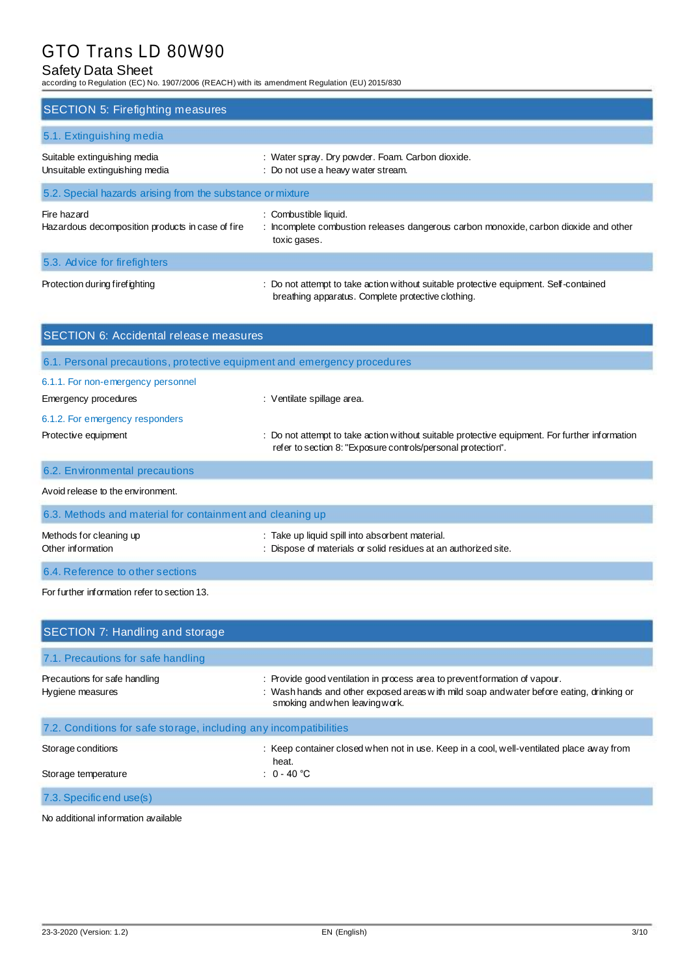# Safety Data Sheet

according to Regulation (EC) No. 1907/2006 (REACH) with its amendment Regulation (EU) 2015/830

| <b>SECTION 5: Firefighting measures</b>                         |                                                                                                                                             |
|-----------------------------------------------------------------|---------------------------------------------------------------------------------------------------------------------------------------------|
| 5.1. Extinguishing media                                        |                                                                                                                                             |
| Suitable extinguishing media<br>Unsuitable extinguishing media  | : Water spray. Dry powder. Foam. Carbon dioxide.<br>: Do not use a heavy water stream.                                                      |
| 5.2. Special hazards arising from the substance or mixture      |                                                                                                                                             |
| Fire hazard<br>Hazardous decomposition products in case of fire | : Combustible liquid.<br>: Incomplete combustion releases dangerous carbon monoxide, carbon dioxide and other<br>toxic gases.               |
| 5.3. Advice for firefighters                                    |                                                                                                                                             |
| Protection during firefighting                                  | : Do not attempt to take action without suitable protective equipment. Self-contained<br>breathing apparatus. Complete protective clothing. |

| <b>SECTION 6: Accidental release measures</b>                            |                                                                                                                                                                |  |  |
|--------------------------------------------------------------------------|----------------------------------------------------------------------------------------------------------------------------------------------------------------|--|--|
| 6.1. Personal precautions, protective equipment and emergency procedures |                                                                                                                                                                |  |  |
| 6.1.1. For non-emergency personnel                                       |                                                                                                                                                                |  |  |
| Emergency procedures                                                     | : Ventilate spillage area.                                                                                                                                     |  |  |
| 6.1.2. For emergency responders                                          |                                                                                                                                                                |  |  |
| Protective equipment                                                     | : Do not attempt to take action without suitable protective equipment. For further information<br>refer to section 8: "Exposure controls/personal protection". |  |  |
| 6.2. Environmental precautions                                           |                                                                                                                                                                |  |  |
| Avoid release to the environment.                                        |                                                                                                                                                                |  |  |

| 6.3. Methods and material for containment and cleaning up |                                                                                                                    |  |
|-----------------------------------------------------------|--------------------------------------------------------------------------------------------------------------------|--|
| Methods for cleaning up<br>Other information              | : Take up liquid spill into absorbent material.<br>: Dispose of materials or solid residues at an authorized site. |  |
| 6.4. Reference to other sections                          |                                                                                                                    |  |

For further information refer to section 13.

| SECTION 7: Handling and storage                                   |                                                                                                                                                                                                         |
|-------------------------------------------------------------------|---------------------------------------------------------------------------------------------------------------------------------------------------------------------------------------------------------|
| 7.1. Precautions for safe handling                                |                                                                                                                                                                                                         |
| Precautions for safe handling<br>Hygiene measures                 | : Provide good ventilation in process area to preventformation of vapour.<br>: Wash hands and other exposed areas with mild soap and water before eating, drinking or<br>smoking and when leaving work. |
| 7.2. Conditions for safe storage, including any incompatibilities |                                                                                                                                                                                                         |
| Storage conditions<br>Storage temperature                         | : Keep container closed when not in use. Keep in a cool, well-ventilated place away from<br>heat.<br>: $0 - 40$ °C                                                                                      |
| 7.3. Specific end use(s)                                          |                                                                                                                                                                                                         |

No additional information available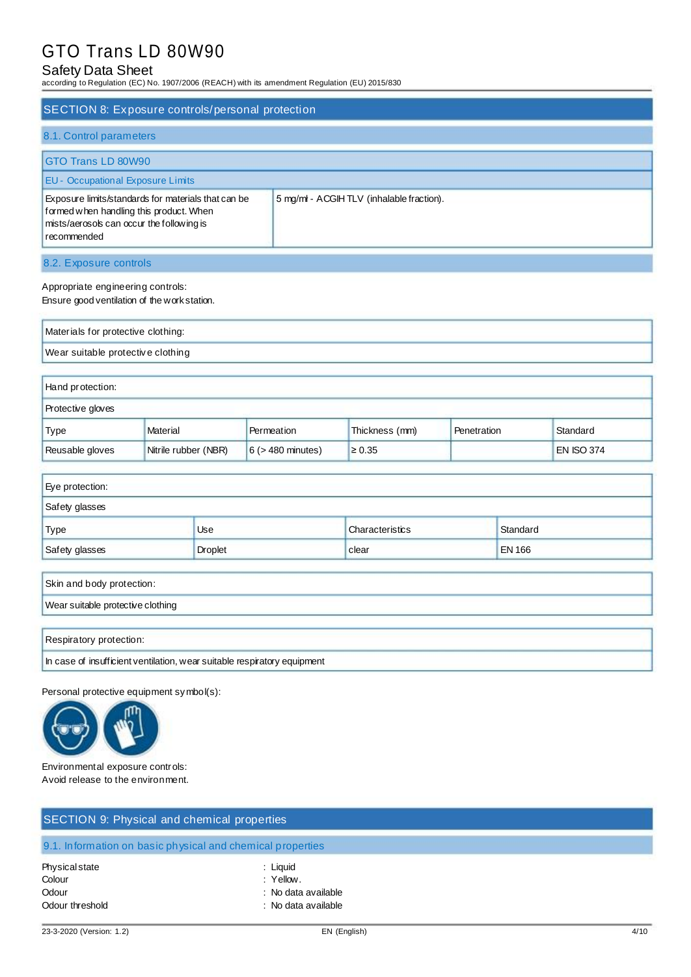# Safety Data Sheet

according to Regulation (EC) No. 1907/2006 (REACH) with its amendment Regulation (EU) 2015/830

| <b>SECTION 8: Exposure controls/personal protection</b>                                                                                                    |                                           |
|------------------------------------------------------------------------------------------------------------------------------------------------------------|-------------------------------------------|
| 8.1. Control parameters                                                                                                                                    |                                           |
| GTO Trans LD 80W90                                                                                                                                         |                                           |
| <b>EU</b> - Occupational Exposure Limits                                                                                                                   |                                           |
| Exposure limits/standards for materials that can be<br>formed when handling this product. When<br>mists/aerosols can occur the following is<br>recommended | 5 mg/ml - ACGIH TLV (inhalable fraction). |
| 8.2. Exposure controls                                                                                                                                     |                                           |
| Appropriate engineering controls:<br>Ensure good ventilation of the work station.                                                                          |                                           |
| Materials for protective clothing:                                                                                                                         |                                           |
| Wear suitable protective clothing                                                                                                                          |                                           |
| Hand protection:                                                                                                                                           |                                           |
| Dentanti in placence                                                                                                                                       |                                           |

| ∥ Protective gloves |                      |                        |                |               |            |
|---------------------|----------------------|------------------------|----------------|---------------|------------|
| <b>Type</b>         | Material             | Permeation             | Thickness (mm) | ' Penetration | Standard   |
| Reusable gloves     | Nitrile rubber (NBR) | $6$ ( $>$ 480 minutes) | $\geq 0.35$    |               | EN ISO 374 |

| Eye protection: |            |                 |               |
|-----------------|------------|-----------------|---------------|
| Safety glasses  |            |                 |               |
| Type            | <b>Use</b> | Characteristics | Standard      |
| Safety glasses  | Droplet    | clear           | <b>EN 166</b> |
|                 |            |                 |               |

| Skin and body protection:                                                |
|--------------------------------------------------------------------------|
| Wear suitable protective clothing                                        |
|                                                                          |
| Respiratory protection:                                                  |
| In case of insufficient ventilation, wear suitable respiratory equipment |

Personal protective equipment symbol(s):



Environmental exposure controls: Avoid release to the environment.

| SECTION 9: Physical and chemical properties                |                                                                     |  |  |  |
|------------------------------------------------------------|---------------------------------------------------------------------|--|--|--|
| 9.1. Information on basic physical and chemical properties |                                                                     |  |  |  |
| Physical state<br>Colour<br>Odour<br>Odour threshold       | : Liquid<br>: Yellow.<br>: No data available<br>: No data available |  |  |  |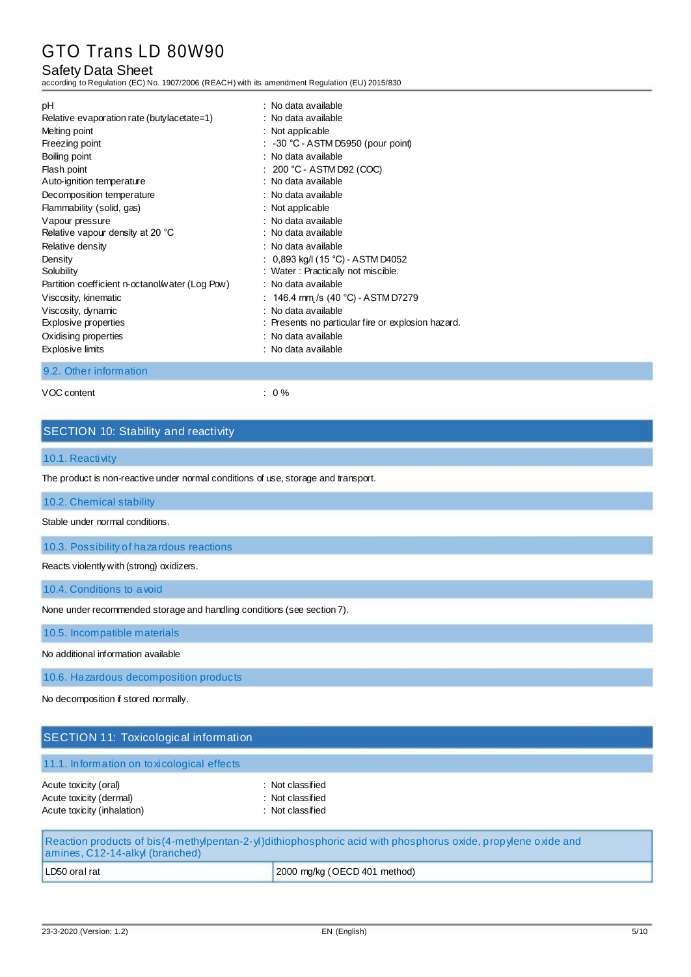# Safety Data Sheet

according to Regulation (EC) No. 1907/2006 (REACH) with its amendment Regulation (EU) 2015/830

| : No data available<br>Oxidising properties<br><b>Explosive limits</b><br>: No data available | Relative evaporation rate (butylacetate=1)<br>: No data available<br>Melting point<br>Freezing point<br>Boiling point<br>Flash point<br>Auto-ignition temperature<br>Decomposition temperature<br>Flammability (solid, gas)<br>Vapour pressure<br>Relative vapour density at 20 °C<br>Relative density<br>Density<br>Solubility<br>Partition coefficient n-octanol/water (Log Pow)<br>Viscosity, kinematic<br>Viscosity, dynamic<br>Explosive properties | : Not applicable<br>$\therefore$ -30 °C - ASTM D5950 (pour point)<br>: No data available<br>$: 200 °C - ASTM D92 (COC)$<br>: No data available<br>: No data available<br>: Not applicable<br>: No data available<br>: No data available<br>: No data available<br>: 0,893 kg/l (15 °C) - ASTM D4052<br>: Water: Practically not miscible.<br>: No data available<br>: $146,4$ mm /s (40 °C) - ASTM D7279<br>: No data available<br>: Presents no particular fire or explosion hazard. |
|-----------------------------------------------------------------------------------------------|----------------------------------------------------------------------------------------------------------------------------------------------------------------------------------------------------------------------------------------------------------------------------------------------------------------------------------------------------------------------------------------------------------------------------------------------------------|---------------------------------------------------------------------------------------------------------------------------------------------------------------------------------------------------------------------------------------------------------------------------------------------------------------------------------------------------------------------------------------------------------------------------------------------------------------------------------------|
|-----------------------------------------------------------------------------------------------|----------------------------------------------------------------------------------------------------------------------------------------------------------------------------------------------------------------------------------------------------------------------------------------------------------------------------------------------------------------------------------------------------------------------------------------------------------|---------------------------------------------------------------------------------------------------------------------------------------------------------------------------------------------------------------------------------------------------------------------------------------------------------------------------------------------------------------------------------------------------------------------------------------------------------------------------------------|

9.2. Other information

VOC content : 0 %

# SECTION 10: Stability and reactivity

#### 10.1. Reactivity

The product is non-reactive under normal conditions of use, storage and transport.

### 10.2. Chemical stability

Stable under normal conditions.

10.3. Possibility of hazardous reactions

Reacts violently with (strong) oxidizers.

10.4. Conditions to avoid

None under recommended storage and handling conditions (see section 7).

10.5. Incompatible materials

No additional information available

10.6. Hazardous decomposition products

No decomposition if stored normally.

| <b>SECTION 11: Toxicological information</b>           |                                                                                                              |  |
|--------------------------------------------------------|--------------------------------------------------------------------------------------------------------------|--|
| 11.1. Information on toxicological effects             |                                                                                                              |  |
| Acute toxicity (oral)                                  | : Not classified                                                                                             |  |
| Acute toxicity (dermal)<br>Acute toxicity (inhalation) | : Not classified<br>: Not classified                                                                         |  |
| amines, C12-14-alkyl (branched)                        | Reaction products of bis(4-methylpentan-2-y)dithiophosphoric acid with phosphorus oxide, propylene oxide and |  |

| Tamines, C12-14-alkyl (branched) |                              |  |  |
|----------------------------------|------------------------------|--|--|
| LD50 oral rat                    | 2000 mg/kg (OECD 401 method) |  |  |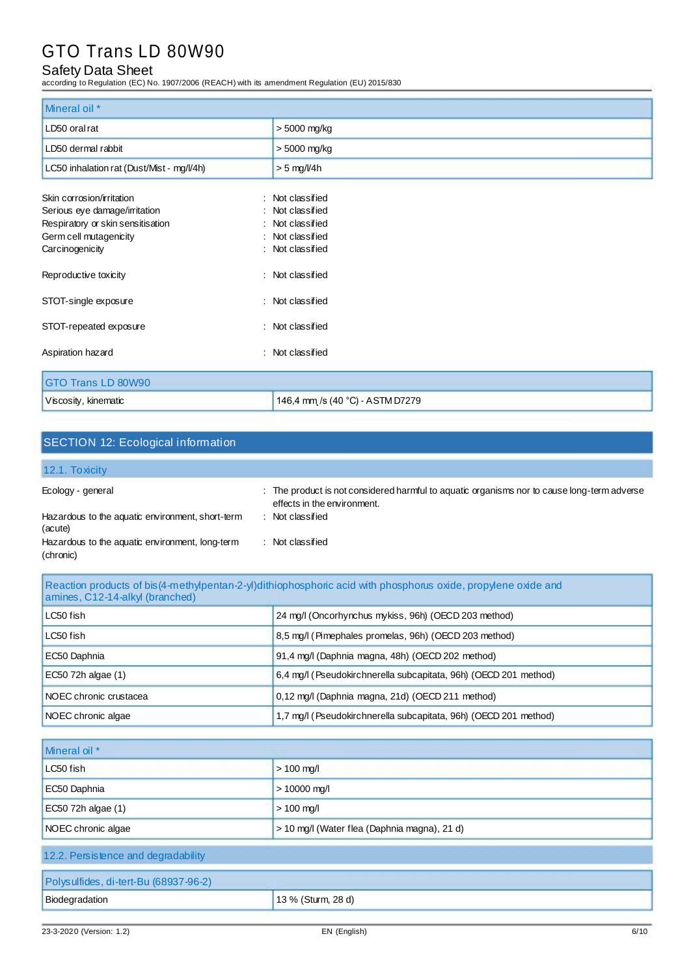# Safety Data Sheet

according to Regulation (EC) No. 1907/2006 (REACH) with its amendment Regulation (EU) 2015/830

| Mineral oil *                             |                                  |  |  |
|-------------------------------------------|----------------------------------|--|--|
| LD50 oral rat                             | > 5000 mg/kg                     |  |  |
| LD50 dermal rabbit                        | > 5000 mg/kg                     |  |  |
| LC50 inhalation rat (Dust/Mist - mg/l/4h) | $> 5$ mg/l/4h                    |  |  |
| Skin corrosion/irritation                 | : Not classified                 |  |  |
| Serious eye damage/irritation             | : Not classified                 |  |  |
| Respiratory or skin sensitisation         | : Not classified                 |  |  |
| Germ cell mutagenicity                    | : Not classified                 |  |  |
| Carcinogenicity                           | : Not classified                 |  |  |
| Reproductive toxicity                     | : Not classified                 |  |  |
| STOT-single exposure                      | : Not classified                 |  |  |
| STOT-repeated exposure                    | : Not classified                 |  |  |
| Aspiration hazard                         | : Not classified                 |  |  |
| GTO Trans LD 80W90                        |                                  |  |  |
| Viscosity, kinematic                      | 146,4 mm /s (40 °C) - ASTM D7279 |  |  |

# SECTION 12: Ecological information

### 12.1. Toxicity

| Ecology - general                                            | : The product is not considered harmful to aquatic organisms nor to cause long-term adverse<br>effects in the environment. |
|--------------------------------------------------------------|----------------------------------------------------------------------------------------------------------------------------|
| Hazardous to the aquatic environment, short-term<br>(acute)  | Not classified                                                                                                             |
| Hazardous to the aquatic environment, long-term<br>(chronic) | Not classified                                                                                                             |

# Reaction products of bis(4-methylpentan-2-yl)dithiophosphoric acid with phosphorus oxide, propylene oxide and amines, C12-14-alkyl (branched)

| LC50 fish                      | 24 mg/l (Oncorhynchus mykiss, 96h) (OECD 203 method)             |  |
|--------------------------------|------------------------------------------------------------------|--|
| LC50 fish                      | 8.5 mg/l (Pimephales promelas, 96h) (OECD 203 method)            |  |
| EC50 Daphnia                   | 91.4 mg/l (Daphnia magna, 48h) (OECD 202 method)                 |  |
| EC50 72h algae (1)             | 6,4 mg/l (Pseudokirchnerella subcapitata, 96h) (OECD 201 method) |  |
| <b>INOEC</b> chronic crustacea | 0,12 mg/l (Daphnia magna, 21d) (OECD 211 method)                 |  |
| NOEC chronic algae             | 1,7 mg/l (Pseudokirchnerella subcapitata, 96h) (OECD 201 method) |  |

| Mineral oil *                                                      |  |  |
|--------------------------------------------------------------------|--|--|
| LC50 fish<br>$> 100$ mg/l                                          |  |  |
| EC50 Daphnia<br>$> 10000$ mg/l                                     |  |  |
| EC50 72h algae (1)<br>$> 100$ mg/l                                 |  |  |
| > 10 mg/l (Water flea (Daphnia magna), 21 d)<br>NOEC chronic algae |  |  |
| 12.2. Persistence and degradability                                |  |  |
| Polysulfides, di-tert-Bu (68937-96-2)                              |  |  |
| Biodegradation<br>13 % (Sturm, 28 d)                               |  |  |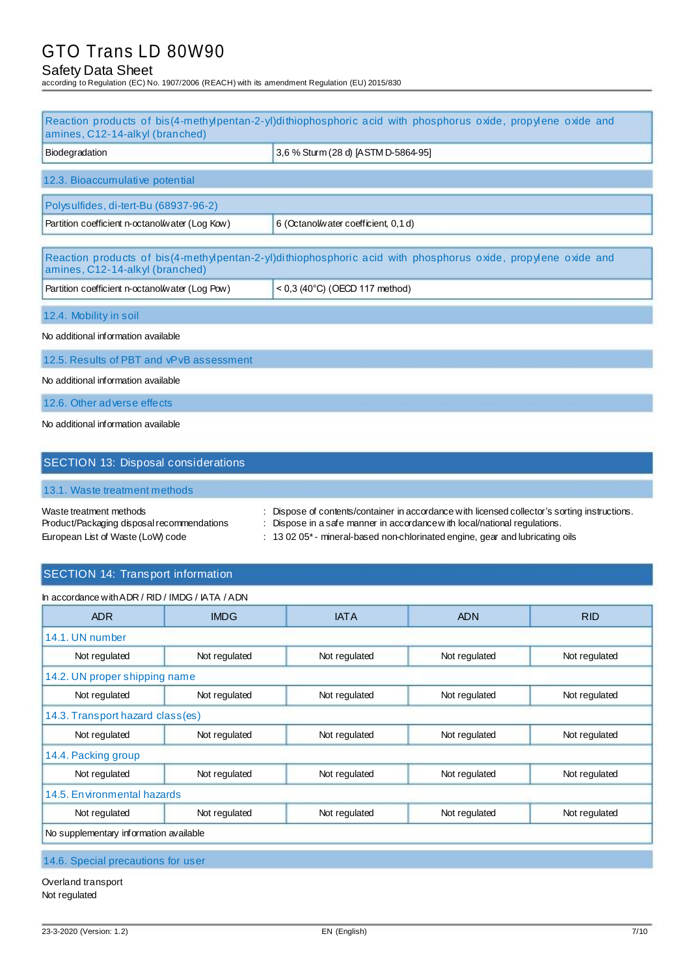# Safety Data Sheet

according to Regulation (EC) No. 1907/2006 (REACH) with its amendment Regulation (EU) 2015/830

|                                                                                                            | Reaction products of bis(4-methylpentan-2-yl)dithiophosphoric acid with phosphorus oxide, propylene oxide and                                                                                                                                          |
|------------------------------------------------------------------------------------------------------------|--------------------------------------------------------------------------------------------------------------------------------------------------------------------------------------------------------------------------------------------------------|
| amines, C12-14-alkyl (branched)                                                                            |                                                                                                                                                                                                                                                        |
| Biodegradation                                                                                             | 3,6 % Sturm (28 d) [ASTM D-5864-95]                                                                                                                                                                                                                    |
| 12.3. Bioaccumulative potential                                                                            |                                                                                                                                                                                                                                                        |
| Polysulfides, di-tert-Bu (68937-96-2)                                                                      |                                                                                                                                                                                                                                                        |
| Partition coefficient n-octanol/water (Log Kow)                                                            | 6 (Octanol/water coefficient, 0,1 d)                                                                                                                                                                                                                   |
| amines, C12-14-alkyl (branched)                                                                            | Reaction products of bis(4-methylpentan-2-yl)dithiophosphoric acid with phosphorus oxide, propylene oxide and                                                                                                                                          |
| Partition coefficient n-octanol/water (Log Pow)                                                            | $<$ 0,3 (40°C) (OECD 117 method)                                                                                                                                                                                                                       |
| 12.4. Mobility in soil                                                                                     |                                                                                                                                                                                                                                                        |
| No additional information available                                                                        |                                                                                                                                                                                                                                                        |
| 12.5. Results of PBT and vPvB assessment                                                                   |                                                                                                                                                                                                                                                        |
| No additional information available                                                                        |                                                                                                                                                                                                                                                        |
| 12.6. Other adverse effects                                                                                |                                                                                                                                                                                                                                                        |
| No additional information available                                                                        |                                                                                                                                                                                                                                                        |
| <b>SECTION 13: Disposal considerations</b>                                                                 |                                                                                                                                                                                                                                                        |
| 13.1. Waste treatment methods                                                                              |                                                                                                                                                                                                                                                        |
| Waste treatment methods<br>Product/Packaging disposal recommendations<br>European List of Waste (LoW) code | Dispose of contents/container in accordance with licensed collector's sorting instructions.<br>Dispose in a safe manner in accordance with local/national regulations.<br>: 13 02 05*- mineral-based non-chlorinated engine, gear and lubricating oils |

# SECTION 14: Transport information

| <b>ADR</b>                                                                        | <b>IMDG</b>   | <b>IATA</b>   | <b>ADN</b>    | <b>RID</b>    |  |
|-----------------------------------------------------------------------------------|---------------|---------------|---------------|---------------|--|
| 14.1. UN number                                                                   |               |               |               |               |  |
| Not regulated                                                                     | Not regulated | Not regulated | Not regulated | Not regulated |  |
| 14.2. UN proper shipping name                                                     |               |               |               |               |  |
| Not regulated<br>Not regulated<br>Not regulated<br>Not regulated<br>Not regulated |               |               |               |               |  |
| 14.3. Transport hazard class(es)                                                  |               |               |               |               |  |
| Not regulated<br>Not regulated<br>Not regulated<br>Not regulated<br>Not regulated |               |               |               |               |  |
| 14.4. Packing group                                                               |               |               |               |               |  |
| Not regulated<br>Not regulated<br>Not regulated<br>Not regulated<br>Not regulated |               |               |               |               |  |
| 14.5. En vironmental hazards                                                      |               |               |               |               |  |
| Not regulated<br>Not regulated<br>Not regulated<br>Not regulated<br>Not regulated |               |               |               |               |  |

14.6. Special precautions for user

Overland transport Not regulated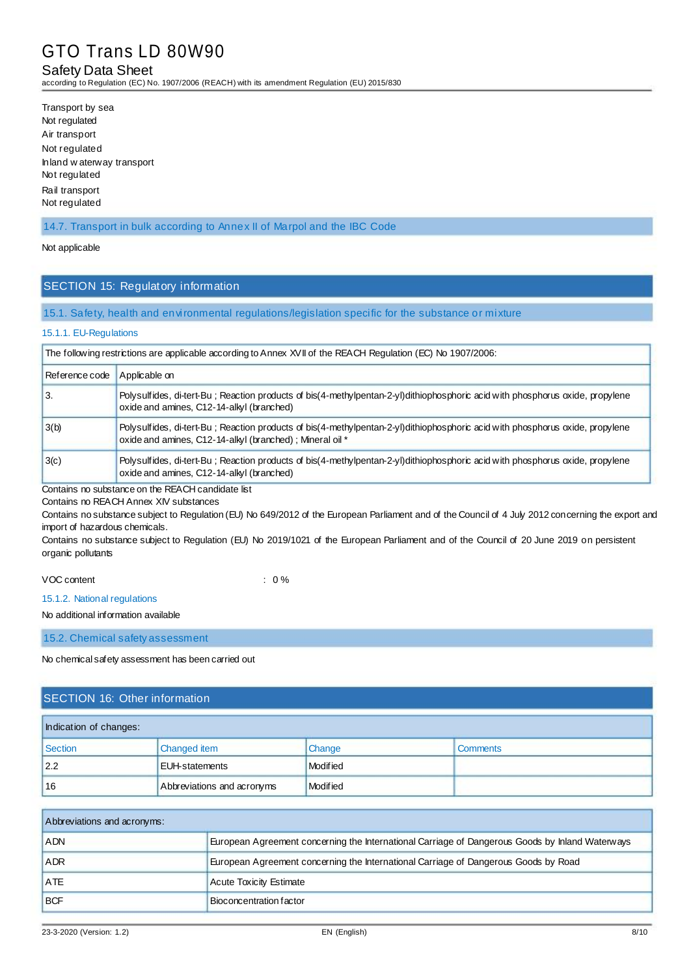### Safety Data Sheet

according to Regulation (EC) No. 1907/2006 (REACH) with its amendment Regulation (EU) 2015/830

Transport by sea Not regulated Air transport Not regulated Inland w aterway transport Not regulated Rail transport Not regulated

14.7. Transport in bulk according to Annex II of Marpol and the IBC Code

#### Not applicable

### SECTION 15: Regulatory information

#### 15.1. Safety, health and environmental regulations/legislation specific for the substance or mixture

#### 15.1.1. EU-Regulations

| The following restrictions are applicable according to Annex XVII of the REACH Regulation (EC) No 1907/2006: |                                                                                                                                                                                           |  |
|--------------------------------------------------------------------------------------------------------------|-------------------------------------------------------------------------------------------------------------------------------------------------------------------------------------------|--|
| Reference code                                                                                               | Applicable on                                                                                                                                                                             |  |
| 3.                                                                                                           | Polysulfides, di-tert-Bu; Reaction products of bis(4-methylpentan-2-yl)dithiophosphoric acid with phosphorus oxide, propylene<br>oxide and amines, C12-14-alkyl (branched)                |  |
| 3(b)                                                                                                         | Polysulfides, di-tert-Bu; Reaction products of bis(4-methylpentan-2-yl)dithiophosphoric acid with phosphorus oxide, propylene<br>oxide and amines, C12-14-alkyl (branched); Mineral oil * |  |
| 3(c)                                                                                                         | Polysulfides, di-tert-Bu; Reaction products of bis(4-methylpentan-2-yl)dithiophosphoric acid with phosphorus oxide, propylene<br>oxide and amines, C12-14-alkyl (branched)                |  |

Contains no substance on the REACH candidate list

Contains no REACH Annex XIV substances

Contains no substance subject to Regulation (EU) No 649/2012 of the European Parliament and of the Council of 4 July 2012 concerning the export and import of hazardous chemicals.

Contains no substance subject to Regulation (EU) No 2019/1021 of the European Parliament and of the Council of 20 June 2019 on persistent organic pollutants

### VOC content  $\sim$  0 %

#### 15.1.2. National regulations

No additional information available

15.2. Chemical safety assessment

No chemical safety assessment has been carried out

# SECTION 16: Other information

| Indication of changes: |                            |          |                 |  |
|------------------------|----------------------------|----------|-----------------|--|
| Section                | Changed item               | Change   | <b>Comments</b> |  |
| 2.2                    | <b>EUH-statements</b>      | Modified |                 |  |
| 16                     | Abbreviations and acronyms | Modified |                 |  |

| Abbreviations and acronyms: |                                                                                                 |  |
|-----------------------------|-------------------------------------------------------------------------------------------------|--|
| <b>ADN</b>                  | European Agreement concerning the International Carriage of Dangerous Goods by Inland Waterways |  |
| <b>ADR</b>                  | European Agreement concerning the International Carriage of Dangerous Goods by Road             |  |
| <b>ATE</b>                  | <b>Acute Toxicity Estimate</b>                                                                  |  |
| <b>BCF</b>                  | Bioconcentration factor                                                                         |  |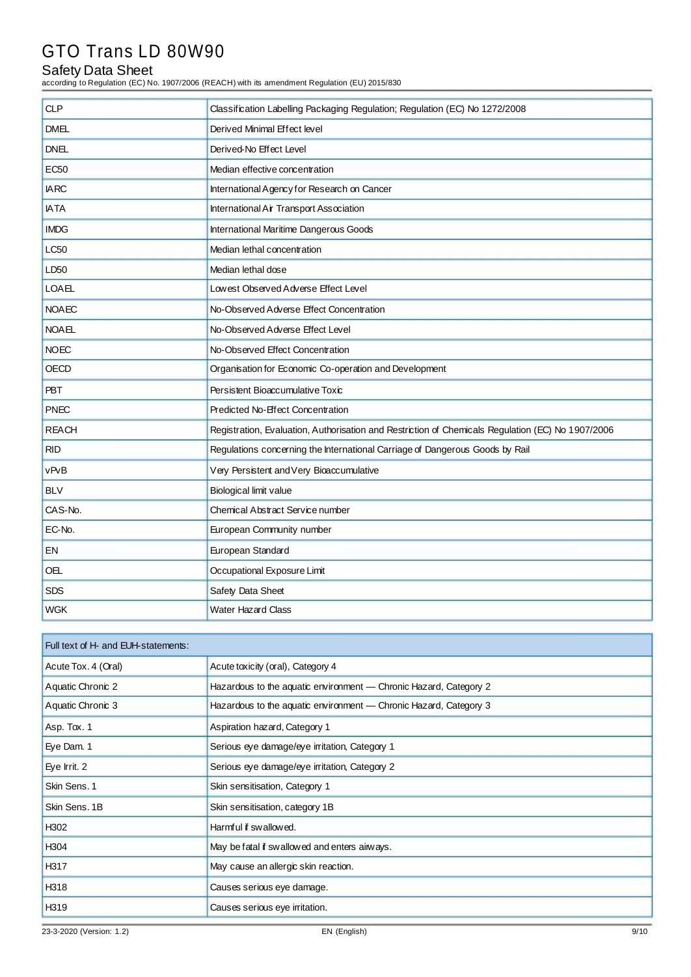# Safety Data Sheet

according to Regulation (EC) No. 1907/2006 (REACH) with its amendment Regulation (EU) 2015/830

| <b>CLP</b>   | Classification Labelling Packaging Regulation; Regulation (EC) No 1272/2008                       |
|--------------|---------------------------------------------------------------------------------------------------|
| <b>DMEL</b>  | Derived Minimal Effect level                                                                      |
| <b>DNEL</b>  | Derived-No Effect Level                                                                           |
| <b>EC50</b>  | Median effective concentration                                                                    |
| <b>IARC</b>  | International Agency for Research on Cancer                                                       |
| <b>IATA</b>  | International Air Transport Association                                                           |
| <b>IMDG</b>  | International Maritime Dangerous Goods                                                            |
| <b>LC50</b>  | Median lethal concentration                                                                       |
| LD50         | Median lethal dose                                                                                |
| <b>LOAEL</b> | Lowest Observed Adverse Effect Level                                                              |
| <b>NOAEC</b> | No-Observed Adverse Effect Concentration                                                          |
| <b>NOAEL</b> | No-Observed Adverse Effect Level                                                                  |
| <b>NOEC</b>  | No-Observed Effect Concentration                                                                  |
| OECD         | Organisation for Economic Co-operation and Development                                            |
| <b>PBT</b>   | Persistent Bioaccumulative Toxic                                                                  |
| <b>PNEC</b>  | Predicted No-Effect Concentration                                                                 |
| <b>REACH</b> | Registration, Evaluation, Authorisation and Restriction of Chemicals Regulation (EC) No 1907/2006 |
| <b>RID</b>   | Regulations concerning the International Carriage of Dangerous Goods by Rail                      |
| vPvB         | Very Persistent and Very Bioaccumulative                                                          |
| <b>BLV</b>   | Biological limit value                                                                            |
| CAS-No.      | Chemical Abstract Service number                                                                  |
| EC-No.       | European Community number                                                                         |
| EN           | European Standard                                                                                 |
| OEL          | Occupational Exposure Limit                                                                       |
| <b>SDS</b>   | Safety Data Sheet                                                                                 |
| <b>WGK</b>   | <b>Water Hazard Class</b>                                                                         |

| Full text of H- and EUH-statements: |                                                                   |      |
|-------------------------------------|-------------------------------------------------------------------|------|
| Acute Tox. 4 (Oral)                 | Acute toxicity (oral), Category 4                                 |      |
| Aquatic Chronic 2                   | Hazardous to the aquatic environment - Chronic Hazard, Category 2 |      |
| Aquatic Chronic 3                   | Hazardous to the aquatic environment - Chronic Hazard, Category 3 |      |
| Asp. Tox. 1                         | Aspiration hazard, Category 1                                     |      |
| Eye Dam. 1                          | Serious eye damage/eye irritation, Category 1                     |      |
| Eye Irrit. 2                        | Serious eye damage/eye irritation, Category 2                     |      |
| Skin Sens. 1                        | Skin sensitisation, Category 1                                    |      |
| Skin Sens. 1B                       | Skin sensitisation, category 1B                                   |      |
| H <sub>302</sub>                    | Harmful if swallowed.                                             |      |
| H <sub>304</sub>                    | May be fatal if swallowed and enters airways.                     |      |
| H317                                | May cause an allergic skin reaction.                              |      |
| H318                                | Causes serious eye damage.                                        |      |
| H319                                | Causes serious eye irritation.                                    |      |
| 23-3-2020 (Version: 1.2)            | EN (English)                                                      | 9/10 |